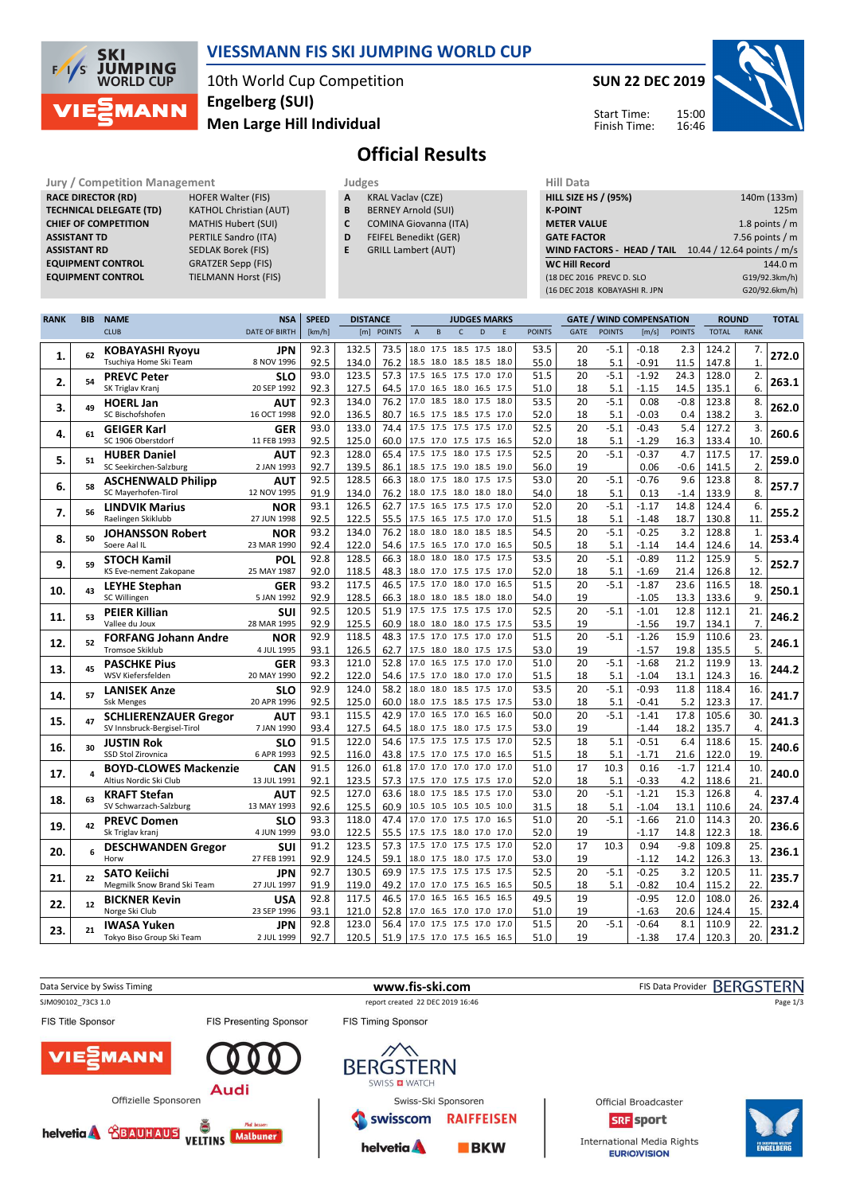

### VIESSMANN FIS SKI JUMPING WORLD CUP

10th World Cup Competition Men Large Hill Individual Engelberg (SUI)

SUN 22 DEC 2019 15:00 16:46 Start Time: Finish Time:



# Official Results

Jury / Competition Management<br>
RACE DIRECTOR (RD) HOFER Walter (FIS) **A KRAL Vaclav (CZE)** HILL SIZE HILL SIZE HILL SIZE **RACE DIRECTOR (RD) TECHNICAL DELEGATE (TD)** KATHOL Christian (AUT)<br>**CHIEF OF COMPETITION** MATHIS Hubert (SUI) CHIEF OF COMPETITION ASSISTANT TD PERTILE Sandro (ITA) ASSISTANT RD SEDLAK Borek (FIS)<br>
EQUIPMENT CONTROL GRATZER Sepp (FIS) EQUIPMENT CONTROL

EQUIPMENT CONTROL TIELMANN Horst (FIS)

- A KRAL Vaclav (CZE)
- **B** BERNEY Arnold (SUI)<br>**C** COMINA Giovanna (I
	- COMINA Giovanna (ITA)
- D FEIFEL Benedikt (GER)
- E GRILL Lambert (AUT)

| пш мака                           |                            |
|-----------------------------------|----------------------------|
| <b>HILL SIZE HS / (95%)</b>       | 140m (133m)                |
| <b>K-POINT</b>                    | 125m                       |
| <b>METER VALUE</b>                | 1.8 points $/m$            |
| <b>GATE FACTOR</b>                | 7.56 points $/m$           |
| <b>WIND FACTORS - HEAD / TAIL</b> | 10.44 / 12.64 points / m/s |
| <b>WC Hill Record</b>             | 144.0 m                    |
| (18 DEC 2016 PREVC D. SLO         | G19/92.3km/h)              |
| (16 DEC 2018 KOBAYASHI R. JPN     | G20/92.6km/h)              |
|                                   |                            |

| <b>RANK</b> | <b>BIB</b> | <b>NAME</b>                  | <b>NSA</b>           | <b>SPEED</b> | <b>DISTANCE</b> |               |             |      | <b>JUDGES MARKS</b>      |      |      |               | <b>GATE / WIND COMPENSATION</b> |               |         | <b>ROUND</b>  |              | <b>TOTAL</b> |       |
|-------------|------------|------------------------------|----------------------|--------------|-----------------|---------------|-------------|------|--------------------------|------|------|---------------|---------------------------------|---------------|---------|---------------|--------------|--------------|-------|
|             |            | <b>CLUB</b>                  | <b>DATE OF BIRTH</b> | [km/h]       | [m]             | <b>POINTS</b> | $\mathsf A$ | B    | $\mathsf{C}$             | D    | E    | <b>POINTS</b> | GATE                            | <b>POINTS</b> | [m/s]   | <b>POINTS</b> | <b>TOTAL</b> | <b>RANK</b>  |       |
|             |            | <b>KOBAYASHI Ryoyu</b>       | JPN                  | 92.3         | 132.5           | 73.5          | 18.0        |      | 17.5 18.5 17.5           |      | 18.0 | 53.5          | 20                              | $-5.1$        | $-0.18$ | 2.3           | 124.2        | 7.           |       |
| 1.          | 62         | Tsuchiya Home Ski Team       | 8 NOV 1996           | 92.5         | 134.0           | 76.2          |             |      | 18.5 18.0 18.5 18.5      |      | 18.0 | 55.0          | 18                              | 5.1           | $-0.91$ | 11.5          | 147.8        | $\mathbf{1}$ | 272.0 |
|             |            | <b>PREVC Peter</b>           | <b>SLO</b>           | 93.0         | 123.5           | 57.3          |             |      | 17.5 16.5 17.5 17.0      |      | 17.0 | 51.5          | 20                              | $-5.1$        | $-1.92$ | 24.3          | 128.0        | 2.           |       |
| 2.          | 54         | SK Triglav Kranj             | 20 SEP 1992          | 92.3         | 127.5           | 64.5          |             |      | 17.0 16.5 18.0 16.5 17.5 |      |      | 51.0          | 18                              | 5.1           | $-1.15$ | 14.5          | 135.1        | 6.           | 263.1 |
|             |            | <b>HOERL Jan</b>             | AUT                  | 92.3         | 134.0           | 76.2          | 17.0        |      | 18.5 18.0 17.5           |      | 18.0 | 53.5          | 20                              | $-5.1$        | 0.08    | $-0.8$        | 123.8        | 8.           |       |
| 3.          | 49         | SC Bischofshofen             | 16 OCT 1998          | 92.0         | 136.5           | 80.7          |             |      | 16.5 17.5 18.5 17.5      |      | 17.0 | 52.0          | 18                              | 5.1           | $-0.03$ | 0.4           | 138.2        | 3.           | 262.0 |
|             |            | <b>GEIGER Karl</b>           | GER                  | 93.0         | 133.0           | 74.4          |             |      | 17.5 17.5 17.5 17.5      |      | 17.0 | 52.5          | 20                              | $-5.1$        | $-0.43$ | 5.4           | 127.2        | 3.           |       |
| 4.          | 61         | SC 1906 Oberstdorf           | 11 FEB 1993          | 92.5         | 125.0           | 60.0          |             |      | 17.5 17.0 17.5 17.5 16.5 |      |      | 52.0          | 18                              | 5.1           | $-1.29$ | 16.3          | 133.4        | 10.          | 260.6 |
|             |            | <b>HUBER Daniel</b>          | AUT                  | 92.3         | 128.0           | 65.4          |             |      | 17.5 17.5 18.0 17.5 17.5 |      |      | 52.5          | 20                              | $-5.1$        | $-0.37$ | 4.7           | 117.5        | 17.          |       |
| 5.          | 51         | SC Seekirchen-Salzburg       | 2 JAN 1993           | 92.7         | 139.5           | 86.1          |             |      | 18.5 17.5 19.0 18.5 19.0 |      |      | 56.0          | 19                              |               | 0.06    | $-0.6$        | 141.5        | 2.           | 259.0 |
|             |            | <b>ASCHENWALD Philipp</b>    | AUT                  | 92.5         | 128.5           | 66.3          |             |      | 18.0 17.5 18.0 17.5      |      | 17.5 | 53.0          | 20                              | $-5.1$        | $-0.76$ | 9.6           | 123.8        | 8.           |       |
| 6.          | 58         | SC Mayerhofen-Tirol          | 12 NOV 1995          | 91.9         | 134.0           | 76.2          |             |      | 18.0 17.5 18.0 18.0 18.0 |      |      | 54.0          | 18                              | 5.1           | 0.13    | $-1.4$        | 133.9        | 8.           | 257.7 |
|             |            | <b>LINDVIK Marius</b>        | NOR                  | 93.1         | 126.5           | 62.7          |             |      | 17.5 16.5 17.5 17.5      |      | 17.0 | 52.0          | 20                              | $-5.1$        | $-1.17$ | 14.8          | 124.4        | 6.           |       |
| 7.          | 56         | Raelingen Skiklubb           | 27 JUN 1998          | 92.5         | 122.5           | 55.5          |             |      | 17.5 16.5 17.5 17.0 17.0 |      |      | 51.5          | 18                              | 5.1           | $-1.48$ | 18.7          | 130.8        | 11.          | 255.2 |
|             |            | <b>JOHANSSON Robert</b>      | <b>NOR</b>           | 93.2         | 134.0           | 76.2          | 18.0        |      | 18.0 18.0                | 18.5 | 18.5 | 54.5          | 20                              | $-5.1$        | $-0.25$ | 3.2           | 128.8        | $\mathbf{1}$ |       |
| 8.          | 50         | Soere Aal IL                 | 23 MAR 1990          | 92.4         | 122.0           | 54.6          |             |      | 17.5 16.5 17.0 17.0      |      | 16.5 | 50.5          | 18                              | 5.1           | $-1.14$ | 14.4          | 124.6        | 14.          | 253.4 |
|             |            | <b>STOCH Kamil</b>           | POL                  | 92.8         | 128.5           | 66.3          | 18.0        |      | 18.0 18.0 17.5           |      | 17.5 | 53.5          | 20                              | $-5.1$        | $-0.89$ | 11.2          | 125.9        | 5.           |       |
| 9.          | 59         | KS Eve-nement Zakopane       | 25 MAY 1987          | 92.0         | 118.5           | 48.3          |             |      | 18.0 17.0 17.5 17.5 17.0 |      |      | 52.0          | 18                              | 5.1           | $-1.69$ | 21.4          | 126.8        | 12.          | 252.7 |
|             |            | <b>LEYHE Stephan</b>         | GER                  | 93.2         | 117.5           | 46.5          | 17.5        |      | 17.0 18.0 17.0           |      | 16.5 | 51.5          | 20                              | $-5.1$        | $-1.87$ | 23.6          | 116.5        | 18.          |       |
| 10.         | 43         | SC Willingen                 | 5 JAN 1992           | 92.9         | 128.5           | 66.3          |             |      | 18.0 18.0 18.5 18.0      |      | 18.0 | 54.0          | 19                              |               | $-1.05$ | 13.3          | 133.6        | 9.           | 250.1 |
|             | 53         | <b>PEIER Killian</b>         | SUI                  | 92.5         | 120.5           | 51.9          |             |      | 17.5 17.5 17.5 17.5      |      | 17.0 | 52.5          | 20                              | $-5.1$        | $-1.01$ | 12.8          | 112.1        | 21.          |       |
| 11.         |            | Vallee du Joux               | 28 MAR 1995          | 92.9         | 125.5           | 60.9          |             |      | 18.0 18.0 18.0 17.5 17.5 |      |      | 53.5          | 19                              |               | $-1.56$ | 19.7          | 134.1        | 7.           | 246.2 |
|             |            | <b>FORFANG Johann Andre</b>  | NOR                  | 92.9         | 118.5           | 48.3          |             |      | 17.5 17.0 17.5 17.0      |      | 17.0 | 51.5          | 20                              | $-5.1$        | $-1.26$ | 15.9          | 110.6        | 23.          |       |
| 12.         | 52         | <b>Tromsoe Skiklub</b>       | 4 JUL 1995           | 93.1         | 126.5           | 62.7          |             |      | 17.5 18.0 18.0 17.5      |      | 17.5 | 53.0          | 19                              |               | $-1.57$ | 19.8          | 135.5        | 5.           | 246.1 |
|             |            | <b>PASCHKE Pius</b>          | <b>GER</b>           | 93.3         | 121.0           | 52.8          |             |      | 17.0 16.5 17.5 17.0      |      | 17.0 | 51.0          | 20                              | $-5.1$        | $-1.68$ | 21.2          | 119.9        | 13.          |       |
| 13.         | 45         | <b>WSV Kiefersfelden</b>     | 20 MAY 1990          | 92.2         | 122.0           | 54.6          |             |      | 17.5 17.0 18.0 17.0      |      | 17.0 | 51.5          | 18                              | 5.1           | $-1.04$ | 13.1          | 124.3        | 16.          | 244.2 |
|             | 57         | <b>LANISEK Anze</b>          | <b>SLO</b>           | 92.9         | 124.0           | 58.2          |             |      | 18.0 18.0 18.5 17.5 17.0 |      |      | 53.5          | 20                              | $-5.1$        | $-0.93$ | 11.8          | 118.4        | 16.          | 241.7 |
| 14.         |            | <b>Ssk Menges</b>            | 20 APR 1996          | 92.5         | 125.0           | 60.0          |             |      | 18.0 17.5 18.5 17.5      |      | 17.5 | 53.0          | 18                              | 5.1           | $-0.41$ | 5.2           | 123.3        | 17.          |       |
| 15.         | 47         | <b>SCHLIERENZAUER Gregor</b> | <b>AUT</b>           | 93.1         | 115.5           | 42.9          | 17.0        |      | 16.5 17.0 16.5           |      | 16.0 | 50.0          | 20                              | $-5.1$        | $-1.41$ | 17.8          | 105.6        | 30.          | 241.3 |
|             |            | SV Innsbruck-Bergisel-Tirol  | 7 JAN 1990           | 93.4         | 127.5           | 64.5          |             |      | 18.0 17.5 18.0 17.5 17.5 |      |      | 53.0          | 19                              |               | $-1.44$ | 18.2          | 135.7        | 4.           |       |
| 16.         | 30         | <b>JUSTIN Rok</b>            | <b>SLO</b>           | 91.5         | 122.0           | 54.6          |             |      | 17.5 17.5 17.5 17.5      |      | 17.0 | 52.5          | 18                              | 5.1           | $-0.51$ | 6.4           | 118.6        | 15.          | 240.6 |
|             |            | SSD Stol Zirovnica           | 6 APR 1993           | 92.5         | 116.0           | 43.8          |             |      | 17.5 17.0 17.5 17.0 16.5 |      |      | 51.5          | 18                              | 5.1           | $-1.71$ | 21.6          | 122.0        | 19.          |       |
| 17.         |            | <b>BOYD-CLOWES Mackenzie</b> | <b>CAN</b>           | 91.5         | 126.0           | 61.8          |             |      | 17.0 17.0 17.0 17.0      |      | 17.0 | 51.0          | 17                              | 10.3          | 0.16    | $-1.7$        | 121.4        | 10.          | 240.0 |
|             |            | Altius Nordic Ski Club       | 13 JUL 1991          | 92.1         | 123.5           | 57.3          |             |      | 17.5 17.0 17.5 17.5 17.0 |      |      | 52.0          | 18                              | 5.1           | $-0.33$ | 4.2           | 118.6        | 21.          |       |
| 18.         | 63         | <b>KRAFT Stefan</b>          | <b>AUT</b>           | 92.5         | 127.0           | 63.6          |             |      | 18.0 17.5 18.5 17.5      |      | 17.0 | 53.0          | 20                              | $-5.1$        | $-1.21$ | 15.3          | 126.8        | 4.           | 237.4 |
|             |            | SV Schwarzach-Salzburg       | 13 MAY 1993          | 92.6         | 125.5           | 60.9          |             |      | 10.5 10.5 10.5 10.5 10.0 |      |      | 31.5          | 18                              | 5.1           | $-1.04$ | 13.1          | 110.6        | 24.          |       |
| 19.         | 42         | <b>PREVC Domen</b>           | <b>SLO</b>           | 93.3         | 118.0           | 47.4          |             |      | 17.0 17.0 17.5 17.0      |      | 16.5 | 51.0          | 20                              | $-5.1$        | $-1.66$ | 21.0          | 114.3        | 20.          | 236.6 |
|             |            | Sk Triglav kranj             | 4 JUN 1999           | 93.0         | 122.5           | 55.5          |             |      | 17.5 17.5 18.0 17.0      |      | 17.0 | 52.0          | 19                              |               | $-1.17$ | 14.8          | 122.3        | 18.          |       |
| 20.         | 6          | <b>DESCHWANDEN Gregor</b>    | SUI                  | 91.2         | 123.5           | 57.3          | 17.5        | 17.0 | 17.5                     | 17.5 | 17.0 | 52.0          | 17                              | 10.3          | 0.94    | $-9.8$        | 109.8        | 25.          | 236.1 |
|             |            | Horw                         | 27 FEB 1991          | 92.9         | 124.5           | 59.1          |             |      | 18.0 17.5 18.0 17.5 17.0 |      |      | 53.0          | 19                              |               | $-1.12$ | 14.2          | 126.3        | 13.          |       |
| 21.         | 22         | <b>SATO Keiichi</b>          | JPN                  | 92.7         | 130.5           | 69.9          |             |      | 17.5 17.5 17.5 17.5      |      | 17.5 | 52.5          | 20                              | $-5.1$        | $-0.25$ | 3.2           | 120.5        | 11.          | 235.7 |
|             |            | Megmilk Snow Brand Ski Team  | 27 JUL 1997          | 91.9         | 119.0           | 49.2          |             |      | 17.0 17.0 17.5 16.5      |      | 16.5 | 50.5          | 18                              | 5.1           | $-0.82$ | 10.4          | 115.2        | 22.          |       |
| 22.         | 12         | <b>BICKNER Kevin</b>         | USA                  | 92.8         | 117.5           | 46.5          |             |      | 17.0 16.5 16.5 16.5      |      | 16.5 | 49.5          | 19                              |               | $-0.95$ | 12.0          | 108.0        | 26.          | 232.4 |
|             |            | Norge Ski Club               | 23 SEP 1996          | 93.1         | 121.0           | 52.8          |             |      | 17.0 16.5 17.0 17.0      |      | 17.0 | 51.0          | 19                              |               | $-1.63$ | 20.6          | 124.4        | 15.          |       |
| 23.         | 21         | <b>IWASA Yuken</b>           | JPN                  | 92.8         | 123.0           | 56.4          |             |      | 17.0 17.5 17.5 17.0      |      | 17.0 | 51.5          | 20                              | $-5.1$        | $-0.64$ | 8.1           | 110.9        | 22.          | 231.2 |
|             |            | Tokyo Biso Group Ski Team    | 2 JUL 1999           | 92.7         | 120.5           | 51.9          |             |      | 17.5 17.0 17.5 16.5 16.5 |      |      | 51.0          | 19                              |               | $-1.38$ | 17.4          | 120.3        | 20.          |       |

Data Service by Swiss Timing **EXALL ARE SERG STERN** WWW.fis-ski.com **FIS Data Provider BERGSTERN** SJM090102\_73C3 1.0 report created 22 DEC 2019 16:46 Page 1/3FIS Title Sponsor FIS Presenting Sponsor **FIS Timing Sponsor MANN BERGSTERN** SWISS **D** WATCH **Audi** Offizielle Sponsoren Swiss-Ski Sponsoren Official Broadcaster swisscom **RAIFFEISEN** SRF sport **helvetia & CEAUHAUS** VELTINS Malbuner International Media Rights helvetia A  $BKN$ **EURIOVISION**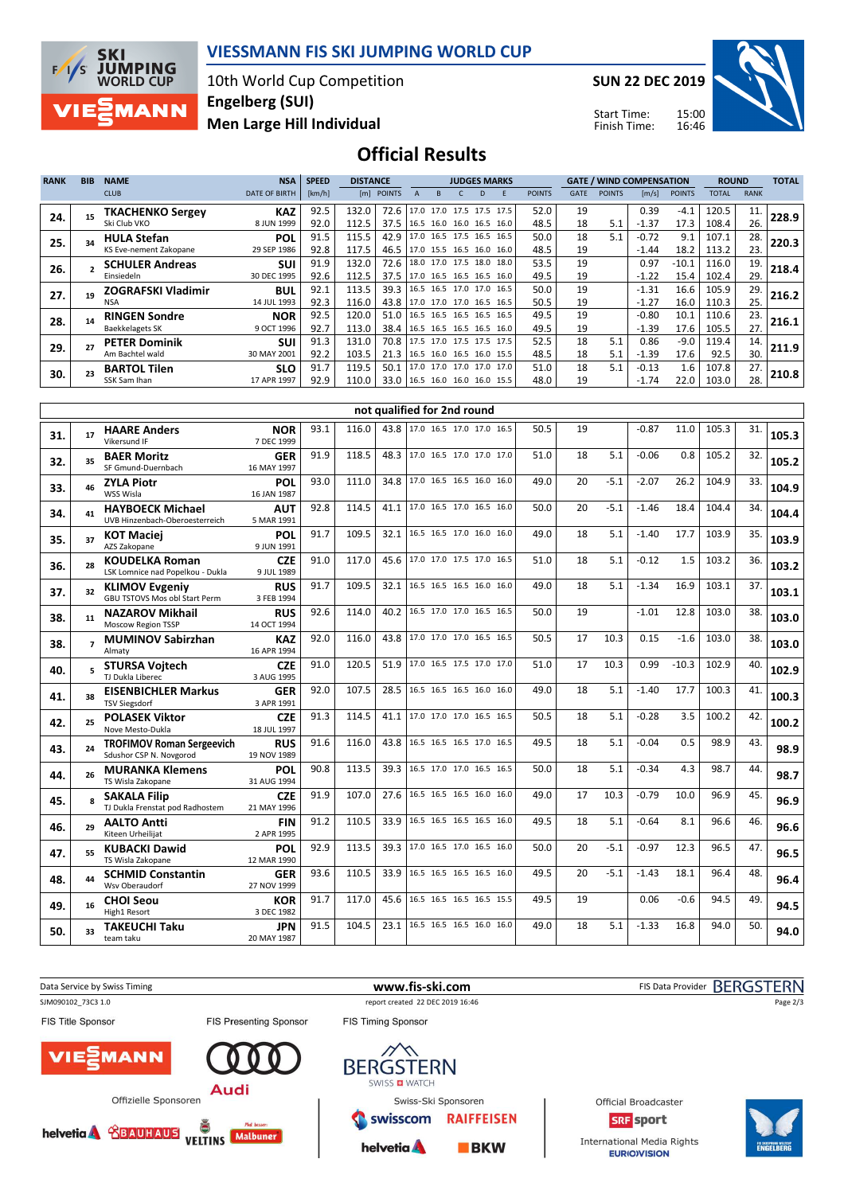

### VIESSMANN FIS SKI JUMPING WORLD CUP

10th World Cup Competition Men Large Hill Individual Engelberg (SUI)

SUN 22 DEC 2019

Start Time: Finish Time:



### Official Results

| <b>RANK</b> | <b>BIB</b> | <b>NAME</b>               | <b>NSA</b>           | <b>SPEED</b> | <b>DISTANCE</b> |                                 | <b>JUDGES MARKS</b> |                     |  |   |                          |               | <b>GATE / WIND COMPENSATION</b> |               |         | <b>ROUND</b>  |       |             |       |
|-------------|------------|---------------------------|----------------------|--------------|-----------------|---------------------------------|---------------------|---------------------|--|---|--------------------------|---------------|---------------------------------|---------------|---------|---------------|-------|-------------|-------|
|             |            | <b>CLUB</b>               | <b>DATE OF BIRTH</b> | [km/h]       | [m]             | <b>POINTS</b>                   |                     | <sub>B</sub>        |  | D | F                        | <b>POINTS</b> | <b>GATE</b>                     | <b>POINTS</b> | [m/s]   | <b>POINTS</b> | TOTAL | <b>RANK</b> |       |
| 24.         |            | <b>TKACHENKO Sergey</b>   | <b>KAZ</b>           | 92.5         | 132.0           | 72.6                            |                     |                     |  |   | 17.0 17.0 17.5 17.5 17.5 | 52.0          | 19                              |               | 0.39    | $-4.1$        | 120.5 | 11.         | 228.9 |
|             |            | Ski Club VKO              | 8 JUN 1999           | 92.0         | 112.5           | 37.5                            |                     |                     |  |   | 16.5 16.0 16.0 16.5 16.0 | 48.5          | 18                              | 5.1           | $-1.37$ | 17.3          | 108.4 | 26.         |       |
| 25.         |            | <b>HULA Stefan</b>        | <b>POL</b>           | 91.5         | 115.5           | 42.9                            |                     | 17.0 16.5 17.5 16.5 |  |   | 16.5                     | 50.0          | 18                              | 5.1           | $-0.72$ | 9.1           | 107.1 | 28.         | 220.3 |
|             |            | KS Eve-nement Zakopane    | 29 SEP 1986          | 92.8         | 117.5           | 46.5                            |                     |                     |  |   | 17.0 15.5 16.5 16.0 16.0 | 48.5          | 19                              |               | $-1.44$ | 18.2          | 113.2 | 23.         |       |
| 26.         |            | <b>SCHULER Andreas</b>    | <b>SUI</b>           | 91.9         | 132.0           | 72.6                            |                     |                     |  |   | 18.0 17.0 17.5 18.0 18.0 | 53.5          | 19                              |               | 0.97    | $-10.1$       | 116.0 | 19.         | 218.4 |
|             |            | Einsiedeln                | 30 DEC 1995          | 92.6         | 112.5           | 37.5                            |                     |                     |  |   | 17.0 16.5 16.5 16.5 16.0 | 49.5          | 19                              |               | $-1.22$ | 15.4          | 102.4 | 29.         |       |
| 27.         |            | <b>ZOGRAFSKI Vladimir</b> | <b>BUL</b>           | 92.1         | 113.5           | 39.3                            |                     | 16.5 16.5 17.0 17.0 |  |   | 16.5                     | 50.0          | 19                              |               | $-1.31$ | 16.6          | 105.9 | 29.         | 216.2 |
|             |            | NSA                       | 14 JUL 1993          | 92.3         | 116.0           | 43.8 17.0 17.0 17.0 16.5 16.5   |                     |                     |  |   |                          | 50.5          | 19                              |               | $-1.27$ | 16.0          | 110.3 | 25.         |       |
| 28.         |            | <b>RINGEN Sondre</b>      | <b>NOR</b>           | 92.5         | 120.0           | 51.0                            |                     |                     |  |   | 16.5 16.5 16.5 16.5 16.5 | 49.5          | 19                              |               | $-0.80$ | 10.1          | 110.6 | 23.         | 216.1 |
|             |            | <b>Baekkelagets SK</b>    | 9 OCT 1996           | 92.7         | 113.0           | 38.4                            |                     |                     |  |   | 16.5 16.5 16.5 16.5 16.0 | 49.5          | 19                              |               | $-1.39$ | 17.6          | 105.5 | 27.         |       |
| 29.         |            | <b>PETER Dominik</b>      | <b>SUI</b>           | 91.3         | 131.0           | 70.8 l                          |                     |                     |  |   | 17.5 17.0 17.5 17.5 17.5 | 52.5          | 18                              | 5.1           | 0.86    | $-9.0$        | 119.4 | 14.         | 211.9 |
|             |            | Am Bachtel wald           | 30 MAY 2001          | 92.2         | 103.5           | 21.3 16.5 16.0 16.5 16.0 15.5   |                     |                     |  |   |                          | 48.5          | 18                              | 5.1           | $-1.39$ | 17.6          | 92.5  | 30.         |       |
| 30.         |            | <b>BARTOL Tilen</b>       | <b>SLO</b>           | 91.7         | 119.5           | 50.1                            |                     |                     |  |   | 17.0 17.0 17.0 17.0 17.0 | 51.0          | 18                              | 5.1           | $-0.13$ | 1.6           | 107.8 | 27.         | 210.8 |
|             |            | SSK Sam Ihan              | 17 APR 1997          | 92.9         | 110.0           | 33.0   16.5 16.0 16.0 16.0 15.5 |                     |                     |  |   |                          | 48.0          | 19                              |               | $-1.74$ | 22.0          | 103.0 | 28.         |       |

|     | not qualified for 2nd round |                                                             |                           |      |       |      |                               |  |  |  |      |    |        |         |         |       |     |       |
|-----|-----------------------------|-------------------------------------------------------------|---------------------------|------|-------|------|-------------------------------|--|--|--|------|----|--------|---------|---------|-------|-----|-------|
| 31. | 17                          | <b>HAARE Anders</b><br>Vikersund IF                         | <b>NOR</b><br>7 DEC 1999  | 93.1 | 116.0 |      | 43.8 17.0 16.5 17.0 17.0 16.5 |  |  |  | 50.5 | 19 |        | $-0.87$ | 11.0    | 105.3 | 31. | 105.3 |
| 32. | 35                          | <b>BAER Moritz</b><br>SF Gmund-Duernbach                    | <b>GER</b><br>16 MAY 1997 | 91.9 | 118.5 | 48.3 | 17.0 16.5 17.0 17.0 17.0      |  |  |  | 51.0 | 18 | 5.1    | $-0.06$ | 0.8     | 105.2 | 32. | 105.2 |
| 33. | 46                          | <b>ZYLA Piotr</b><br>WSS Wisla                              | POL<br>16 JAN 1987        | 93.0 | 111.0 | 34.8 | 17.0 16.5 16.5 16.0 16.0      |  |  |  | 49.0 | 20 | $-5.1$ | $-2.07$ | 26.2    | 104.9 | 33. | 104.9 |
| 34. | 41                          | <b>HAYBOECK Michael</b><br>UVB Hinzenbach-Oberoesterreich   | <b>AUT</b><br>5 MAR 1991  | 92.8 | 114.5 | 41.1 | 17.0 16.5 17.0 16.5 16.0      |  |  |  | 50.0 | 20 | $-5.1$ | $-1.46$ | 18.4    | 104.4 | 34. | 104.4 |
| 35. | 37                          | <b>KOT Maciej</b><br>AZS Zakopane                           | POL<br>9 JUN 1991         | 91.7 | 109.5 | 32.1 | 16.5 16.5 17.0 16.0 16.0      |  |  |  | 49.0 | 18 | 5.1    | $-1.40$ | 17.7    | 103.9 | 35. | 103.9 |
| 36. | 28                          | <b>KOUDELKA Roman</b><br>LSK Lomnice nad Popelkou - Dukla   | <b>CZE</b><br>9 JUL 1989  | 91.0 | 117.0 | 45.6 | 17.0 17.0 17.5 17.0 16.5      |  |  |  | 51.0 | 18 | 5.1    | $-0.12$ | 1.5     | 103.2 | 36. | 103.2 |
| 37. | 32                          | <b>KLIMOV Evgeniy</b><br>GBU TSTOVS Mos obl Start Perm      | <b>RUS</b><br>3 FEB 1994  | 91.7 | 109.5 | 32.1 | 16.5 16.5 16.5 16.0 16.0      |  |  |  | 49.0 | 18 | 5.1    | $-1.34$ | 16.9    | 103.1 | 37. | 103.1 |
| 38. | 11                          | <b>NAZAROV Mikhail</b><br><b>Moscow Region TSSP</b>         | <b>RUS</b><br>14 OCT 1994 | 92.6 | 114.0 | 40.2 | 16.5 17.0 17.0 16.5 16.5      |  |  |  | 50.0 | 19 |        | $-1.01$ | 12.8    | 103.0 | 38. | 103.0 |
| 38. | $\overline{ }$              | <b>MUMINOV Sabirzhan</b><br>Almaty                          | <b>KAZ</b><br>16 APR 1994 | 92.0 | 116.0 | 43.8 | 17.0 17.0 17.0 16.5 16.5      |  |  |  | 50.5 | 17 | 10.3   | 0.15    | $-1.6$  | 103.0 | 38. | 103.0 |
| 40. | 5                           | <b>STURSA Voitech</b><br>TJ Dukla Liberec                   | <b>CZE</b><br>3 AUG 1995  | 91.0 | 120.5 | 51.9 | 17.0 16.5 17.5 17.0 17.0      |  |  |  | 51.0 | 17 | 10.3   | 0.99    | $-10.3$ | 102.9 | 40. | 102.9 |
| 41. | 38                          | <b>EISENBICHLER Markus</b><br><b>TSV Siegsdorf</b>          | <b>GER</b><br>3 APR 1991  | 92.0 | 107.5 | 28.5 | 16.5 16.5 16.5 16.0 16.0      |  |  |  | 49.0 | 18 | 5.1    | $-1.40$ | 17.7    | 100.3 | 41. | 100.3 |
| 42. | 25                          | <b>POLASEK Viktor</b><br>Nove Mesto-Dukla                   | <b>CZE</b><br>18 JUL 1997 | 91.3 | 114.5 | 41.1 | 17.0 17.0 17.0 16.5 16.5      |  |  |  | 50.5 | 18 | 5.1    | $-0.28$ | 3.5     | 100.2 | 42. | 100.2 |
| 43. | 24                          | <b>TROFIMOV Roman Sergeevich</b><br>Sdushor CSP N. Novgorod | <b>RUS</b><br>19 NOV 1989 | 91.6 | 116.0 | 43.8 | 16.5 16.5 16.5 17.0 16.5      |  |  |  | 49.5 | 18 | 5.1    | $-0.04$ | 0.5     | 98.9  | 43. | 98.9  |
| 44. | 26                          | <b>MURANKA Klemens</b><br>TS Wisla Zakopane                 | POL<br>31 AUG 1994        | 90.8 | 113.5 | 39.3 | 16.5 17.0 17.0 16.5 16.5      |  |  |  | 50.0 | 18 | 5.1    | $-0.34$ | 4.3     | 98.7  | 44. | 98.7  |
| 45. | $\mathbf{R}$                | <b>SAKALA Filip</b><br>TJ Dukla Frenstat pod Radhostem      | <b>CZE</b><br>21 MAY 1996 | 91.9 | 107.0 | 27.6 | 16.5 16.5 16.5 16.0 16.0      |  |  |  | 49.0 | 17 | 10.3   | $-0.79$ | 10.0    | 96.9  | 45. | 96.9  |
| 46. | 29                          | <b>AALTO Antti</b><br>Kiteen Urheilijat                     | <b>FIN</b><br>2 APR 1995  | 91.2 | 110.5 | 33.9 | 16.5 16.5 16.5 16.5 16.0      |  |  |  | 49.5 | 18 | 5.1    | $-0.64$ | 8.1     | 96.6  | 46. | 96.6  |
| 47. | 55                          | <b>KUBACKI Dawid</b><br>TS Wisla Zakopane                   | POL<br>12 MAR 1990        | 92.9 | 113.5 | 39.3 | 17.0 16.5 17.0 16.5 16.0      |  |  |  | 50.0 | 20 | $-5.1$ | $-0.97$ | 12.3    | 96.5  | 47. | 96.5  |
| 48. | 44                          | <b>SCHMID Constantin</b><br>Wsv Oberaudorf                  | <b>GER</b><br>27 NOV 1999 | 93.6 | 110.5 | 33.9 | 16.5 16.5 16.5 16.5 16.0      |  |  |  | 49.5 | 20 | $-5.1$ | $-1.43$ | 18.1    | 96.4  | 48. | 96.4  |
| 49. | 16                          | <b>CHOI Seou</b><br>High1 Resort                            | <b>KOR</b><br>3 DEC 1982  | 91.7 | 117.0 | 45.6 | 16.5 16.5 16.5 16.5 15.5      |  |  |  | 49.5 | 19 |        | 0.06    | $-0.6$  | 94.5  | 49. | 94.5  |
| 50. | 33                          | <b>TAKEUCHI Taku</b><br>team taku                           | <b>JPN</b><br>20 MAY 1987 | 91.5 | 104.5 | 23.1 | 16.5 16.5 16.5 16.0 16.0      |  |  |  | 49.0 | 18 | 5.1    | $-1.33$ | 16.8    | 94.0  | 50. | 94.0  |

Data Service by Swiss Timing **EXECOTERN WWW.fis-ski.com WWW.fis-Ski.com** FIS Data Provider BERGSTERN SJM090102\_73C3 1.0 report created 22 DEC 2019 16:46 Page 2/3FIS Title Sponsor FIS Presenting Sponsor FIS Timing Sponsor **MANN BERGSTERN** SWISS **D** WATCH **Audi** Offizielle Sponsoren Swiss-Ski Sponsoren Official Broadcaster swisscom **RAIFFEISEN SRF** sport helvetia & **SEAUDAUS** vELTINS Malbuner International Media Rights helvetia A  $BKN$ 

**EURIOVISION**